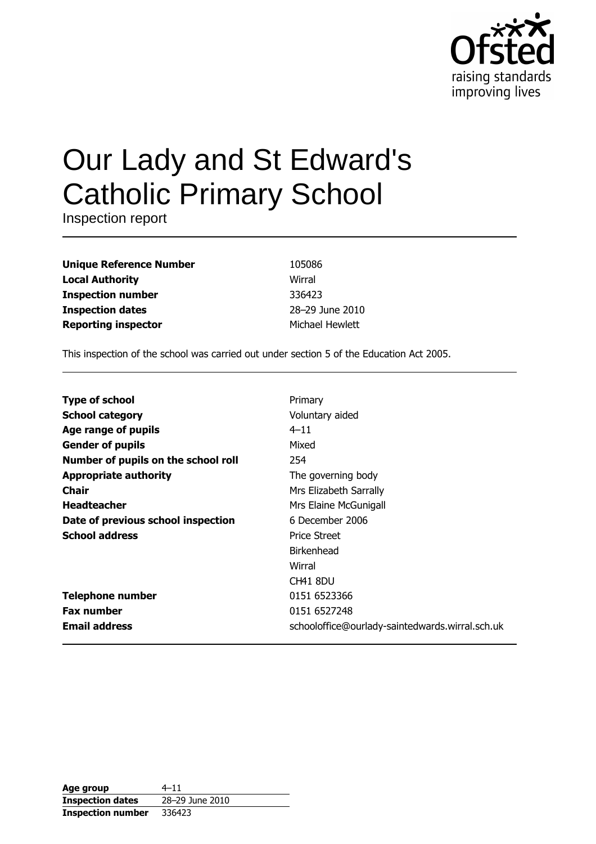

# Our Lady and St Edward's **Catholic Primary School**

Inspection report

| <b>Unique Reference Number</b> |
|--------------------------------|
| <b>Local Authority</b>         |
| <b>Inspection number</b>       |
| <b>Inspection dates</b>        |
| <b>Reporting inspector</b>     |

105086 Wirral 336423 28-29 June 2010 Michael Hewlett

This inspection of the school was carried out under section 5 of the Education Act 2005.

| <b>Type of school</b>               | Primary                                         |
|-------------------------------------|-------------------------------------------------|
| <b>School category</b>              | Voluntary aided                                 |
| Age range of pupils                 | $4 - 11$                                        |
| <b>Gender of pupils</b>             | Mixed                                           |
| Number of pupils on the school roll | 254                                             |
| <b>Appropriate authority</b>        | The governing body                              |
| <b>Chair</b>                        | Mrs Elizabeth Sarrally                          |
| <b>Headteacher</b>                  | Mrs Elaine McGunigall                           |
| Date of previous school inspection  | 6 December 2006                                 |
| <b>School address</b>               | <b>Price Street</b>                             |
|                                     | <b>Birkenhead</b>                               |
|                                     | Wirral                                          |
|                                     | CH41 8DU                                        |
| <b>Telephone number</b>             | 0151 6523366                                    |
| <b>Fax number</b>                   | 0151 6527248                                    |
| <b>Email address</b>                | schooloffice@ourlady-saintedwards.wirral.sch.uk |

| Age group                | $4 - 11$        |
|--------------------------|-----------------|
| <b>Inspection dates</b>  | 28-29 June 2010 |
| <b>Inspection number</b> | 336423          |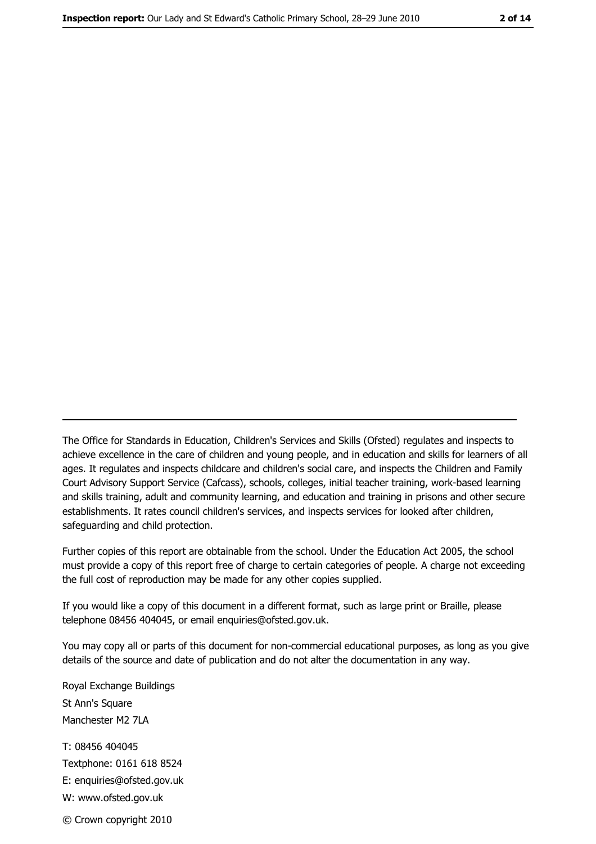The Office for Standards in Education, Children's Services and Skills (Ofsted) regulates and inspects to achieve excellence in the care of children and young people, and in education and skills for learners of all ages. It regulates and inspects childcare and children's social care, and inspects the Children and Family Court Advisory Support Service (Cafcass), schools, colleges, initial teacher training, work-based learning and skills training, adult and community learning, and education and training in prisons and other secure establishments. It rates council children's services, and inspects services for looked after children, safequarding and child protection.

Further copies of this report are obtainable from the school. Under the Education Act 2005, the school must provide a copy of this report free of charge to certain categories of people. A charge not exceeding the full cost of reproduction may be made for any other copies supplied.

If you would like a copy of this document in a different format, such as large print or Braille, please telephone 08456 404045, or email enquiries@ofsted.gov.uk.

You may copy all or parts of this document for non-commercial educational purposes, as long as you give details of the source and date of publication and do not alter the documentation in any way.

Royal Exchange Buildings St Ann's Square Manchester M2 7LA T: 08456 404045 Textphone: 0161 618 8524 E: enquiries@ofsted.gov.uk W: www.ofsted.gov.uk © Crown copyright 2010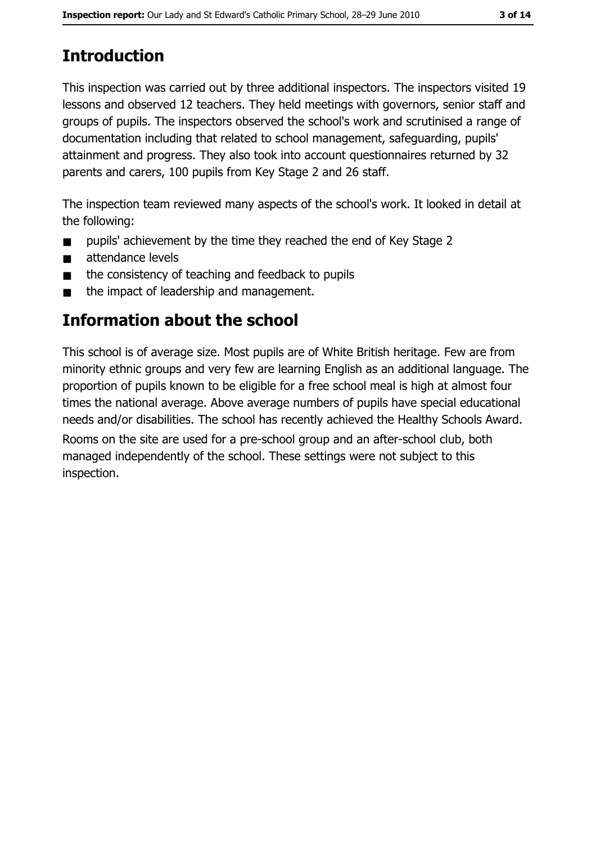# **Introduction**

This inspection was carried out by three additional inspectors. The inspectors visited 19 lessons and observed 12 teachers. They held meetings with governors, senior staff and groups of pupils. The inspectors observed the school's work and scrutinised a range of documentation including that related to school management, safeguarding, pupils' attainment and progress. They also took into account questionnaires returned by 32 parents and carers, 100 pupils from Key Stage 2 and 26 staff.

The inspection team reviewed many aspects of the school's work. It looked in detail at the following:

- pupils' achievement by the time they reached the end of Key Stage 2  $\blacksquare$
- attendance levels  $\blacksquare$
- the consistency of teaching and feedback to pupils  $\blacksquare$
- the impact of leadership and management.  $\blacksquare$

## Information about the school

This school is of average size. Most pupils are of White British heritage. Few are from minority ethnic groups and very few are learning English as an additional language. The proportion of pupils known to be eligible for a free school meal is high at almost four times the national average. Above average numbers of pupils have special educational needs and/or disabilities. The school has recently achieved the Healthy Schools Award.

Rooms on the site are used for a pre-school group and an after-school club, both managed independently of the school. These settings were not subject to this inspection.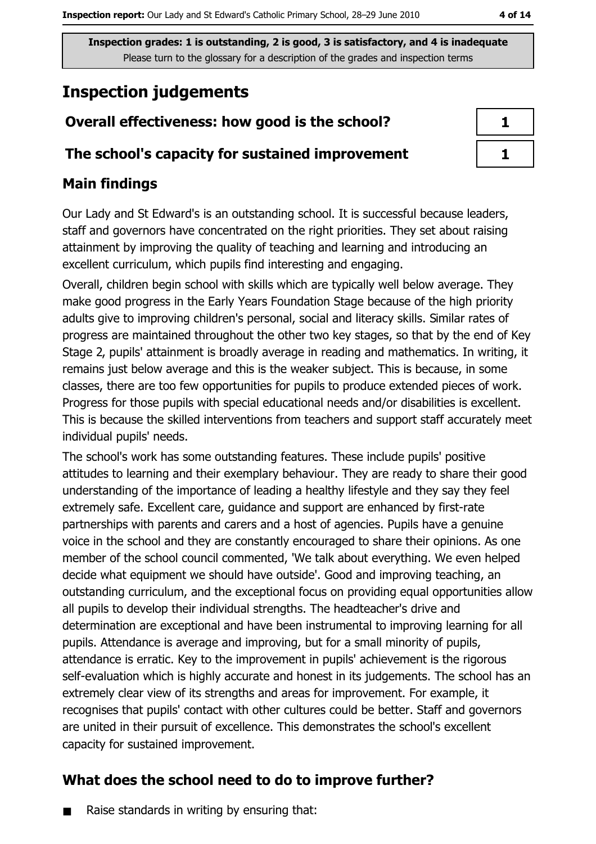4 of 14

Inspection grades: 1 is outstanding, 2 is good, 3 is satisfactory, and 4 is inadequate Please turn to the glossary for a description of the grades and inspection terms

# **Inspection judgements**

## Overall effectiveness: how good is the school?

### The school's capacity for sustained improvement

## **Main findings**

Our Lady and St Edward's is an outstanding school. It is successful because leaders, staff and governors have concentrated on the right priorities. They set about raising attainment by improving the quality of teaching and learning and introducing an excellent curriculum, which pupils find interesting and engaging.

Overall, children begin school with skills which are typically well below average. They make good progress in the Early Years Foundation Stage because of the high priority adults give to improving children's personal, social and literacy skills. Similar rates of progress are maintained throughout the other two key stages, so that by the end of Key Stage 2, pupils' attainment is broadly average in reading and mathematics. In writing, it remains just below average and this is the weaker subject. This is because, in some classes, there are too few opportunities for pupils to produce extended pieces of work. Progress for those pupils with special educational needs and/or disabilities is excellent. This is because the skilled interventions from teachers and support staff accurately meet individual pupils' needs.

The school's work has some outstanding features. These include pupils' positive attitudes to learning and their exemplary behaviour. They are ready to share their good understanding of the importance of leading a healthy lifestyle and they say they feel extremely safe. Excellent care, quidance and support are enhanced by first-rate partnerships with parents and carers and a host of agencies. Pupils have a genuine voice in the school and they are constantly encouraged to share their opinions. As one member of the school council commented, 'We talk about everything. We even helped decide what equipment we should have outside'. Good and improving teaching, an outstanding curriculum, and the exceptional focus on providing equal opportunities allow all pupils to develop their individual strengths. The headteacher's drive and determination are exceptional and have been instrumental to improving learning for all pupils. Attendance is average and improving, but for a small minority of pupils, attendance is erratic. Key to the improvement in pupils' achievement is the rigorous self-evaluation which is highly accurate and honest in its judgements. The school has an extremely clear view of its strengths and areas for improvement. For example, it recognises that pupils' contact with other cultures could be better. Staff and governors are united in their pursuit of excellence. This demonstrates the school's excellent capacity for sustained improvement.

## What does the school need to do to improve further?

Raise standards in writing by ensuring that:  $\blacksquare$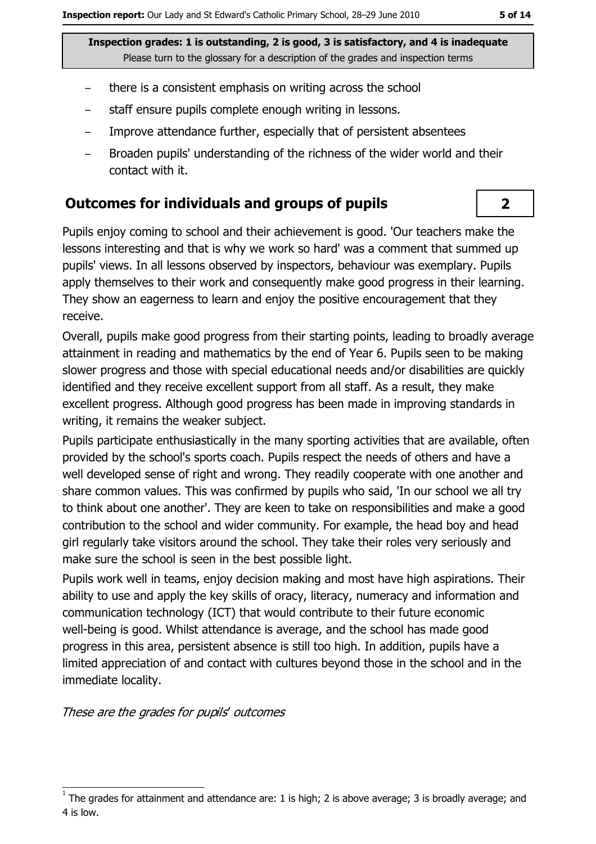- there is a consistent emphasis on writing across the school
- staff ensure pupils complete enough writing in lessons.
- Improve attendance further, especially that of persistent absentees  $\overline{\phantom{m}}$
- Broaden pupils' understanding of the richness of the wider world and their  $\overline{\phantom{m}}$ contact with it.

#### **Outcomes for individuals and groups of pupils**

Pupils enjoy coming to school and their achievement is good. 'Our teachers make the lessons interesting and that is why we work so hard' was a comment that summed up pupils' views. In all lessons observed by inspectors, behaviour was exemplary. Pupils apply themselves to their work and consequently make good progress in their learning. They show an eagerness to learn and enjoy the positive encouragement that they receive.

Overall, pupils make good progress from their starting points, leading to broadly average attainment in reading and mathematics by the end of Year 6. Pupils seen to be making slower progress and those with special educational needs and/or disabilities are quickly identified and they receive excellent support from all staff. As a result, they make excellent progress. Although good progress has been made in improving standards in writing, it remains the weaker subject.

Pupils participate enthusiastically in the many sporting activities that are available, often provided by the school's sports coach. Pupils respect the needs of others and have a well developed sense of right and wrong. They readily cooperate with one another and share common values. This was confirmed by pupils who said, 'In our school we all try to think about one another'. They are keen to take on responsibilities and make a good contribution to the school and wider community. For example, the head boy and head girl regularly take visitors around the school. They take their roles very seriously and make sure the school is seen in the best possible light.

Pupils work well in teams, enjoy decision making and most have high aspirations. Their ability to use and apply the key skills of oracy, literacy, numeracy and information and communication technology (ICT) that would contribute to their future economic well-being is good. Whilst attendance is average, and the school has made good progress in this area, persistent absence is still too high. In addition, pupils have a limited appreciation of and contact with cultures beyond those in the school and in the immediate locality.

These are the grades for pupils' outcomes

 $\overline{2}$ 

The grades for attainment and attendance are: 1 is high; 2 is above average; 3 is broadly average; and 4 is low.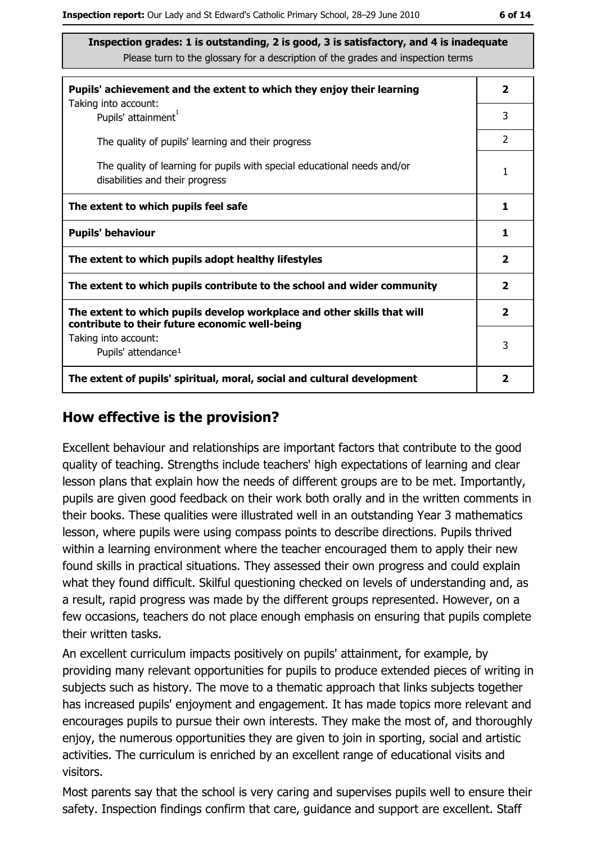| Pupils' achievement and the extent to which they enjoy their learning                                                     |                |  |
|---------------------------------------------------------------------------------------------------------------------------|----------------|--|
| Taking into account:<br>Pupils' attainment <sup>1</sup>                                                                   | 3              |  |
| The quality of pupils' learning and their progress                                                                        | $\overline{2}$ |  |
| The quality of learning for pupils with special educational needs and/or<br>disabilities and their progress               | 1              |  |
| The extent to which pupils feel safe                                                                                      |                |  |
| <b>Pupils' behaviour</b>                                                                                                  |                |  |
| The extent to which pupils adopt healthy lifestyles                                                                       |                |  |
| The extent to which pupils contribute to the school and wider community                                                   |                |  |
| The extent to which pupils develop workplace and other skills that will<br>contribute to their future economic well-being |                |  |
| Taking into account:<br>Pupils' attendance <sup>1</sup>                                                                   | 3              |  |
| The extent of pupils' spiritual, moral, social and cultural development                                                   | 2              |  |

#### How effective is the provision?

Excellent behaviour and relationships are important factors that contribute to the good quality of teaching. Strengths include teachers' high expectations of learning and clear lesson plans that explain how the needs of different groups are to be met. Importantly, pupils are given good feedback on their work both orally and in the written comments in their books. These qualities were illustrated well in an outstanding Year 3 mathematics lesson, where pupils were using compass points to describe directions. Pupils thrived within a learning environment where the teacher encouraged them to apply their new found skills in practical situations. They assessed their own progress and could explain what they found difficult. Skilful questioning checked on levels of understanding and, as a result, rapid progress was made by the different groups represented. However, on a few occasions, teachers do not place enough emphasis on ensuring that pupils complete their written tasks.

An excellent curriculum impacts positively on pupils' attainment, for example, by providing many relevant opportunities for pupils to produce extended pieces of writing in subjects such as history. The move to a thematic approach that links subjects together has increased pupils' enjoyment and engagement. It has made topics more relevant and encourages pupils to pursue their own interests. They make the most of, and thoroughly enjoy, the numerous opportunities they are given to join in sporting, social and artistic activities. The curriculum is enriched by an excellent range of educational visits and visitors.

Most parents say that the school is very caring and supervises pupils well to ensure their safety. Inspection findings confirm that care, guidance and support are excellent. Staff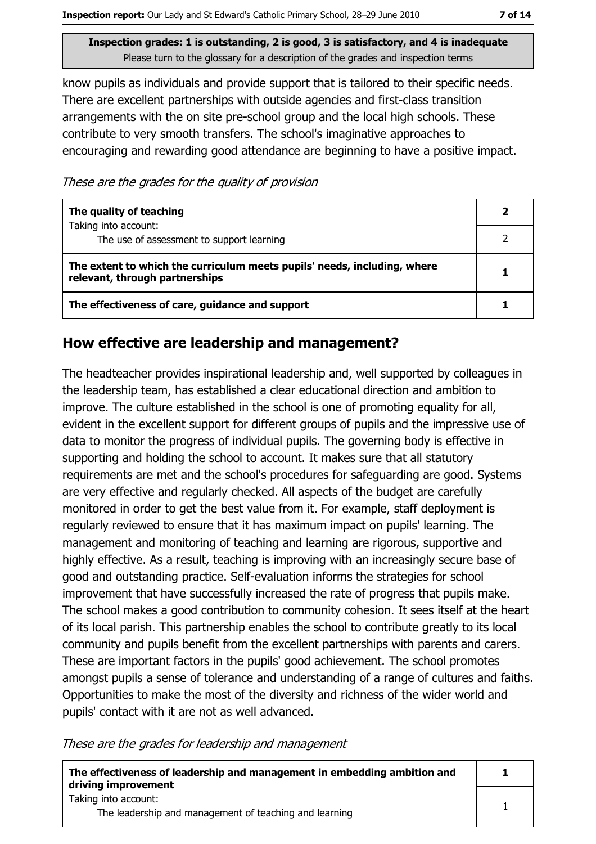know pupils as individuals and provide support that is tailored to their specific needs. There are excellent partnerships with outside agencies and first-class transition arrangements with the on site pre-school group and the local high schools. These contribute to very smooth transfers. The school's imaginative approaches to encouraging and rewarding good attendance are beginning to have a positive impact.

These are the grades for the quality of provision

| The quality of teaching                                                                                    |  |
|------------------------------------------------------------------------------------------------------------|--|
| Taking into account:<br>The use of assessment to support learning                                          |  |
| The extent to which the curriculum meets pupils' needs, including, where<br>relevant, through partnerships |  |
| The effectiveness of care, guidance and support                                                            |  |

## How effective are leadership and management?

The headteacher provides inspirational leadership and, well supported by colleagues in the leadership team, has established a clear educational direction and ambition to improve. The culture established in the school is one of promoting equality for all, evident in the excellent support for different groups of pupils and the impressive use of data to monitor the progress of individual pupils. The governing body is effective in supporting and holding the school to account. It makes sure that all statutory requirements are met and the school's procedures for safeguarding are good. Systems are very effective and regularly checked. All aspects of the budget are carefully monitored in order to get the best value from it. For example, staff deployment is regularly reviewed to ensure that it has maximum impact on pupils' learning. The management and monitoring of teaching and learning are rigorous, supportive and highly effective. As a result, teaching is improving with an increasingly secure base of good and outstanding practice. Self-evaluation informs the strategies for school improvement that have successfully increased the rate of progress that pupils make. The school makes a good contribution to community cohesion. It sees itself at the heart of its local parish. This partnership enables the school to contribute greatly to its local community and pupils benefit from the excellent partnerships with parents and carers. These are important factors in the pupils' good achievement. The school promotes amongst pupils a sense of tolerance and understanding of a range of cultures and faiths. Opportunities to make the most of the diversity and richness of the wider world and pupils' contact with it are not as well advanced.

These are the grades for leadership and management

| The effectiveness of leadership and management in embedding ambition and<br>driving improvement |  |
|-------------------------------------------------------------------------------------------------|--|
| Taking into account:                                                                            |  |
| The leadership and management of teaching and learning                                          |  |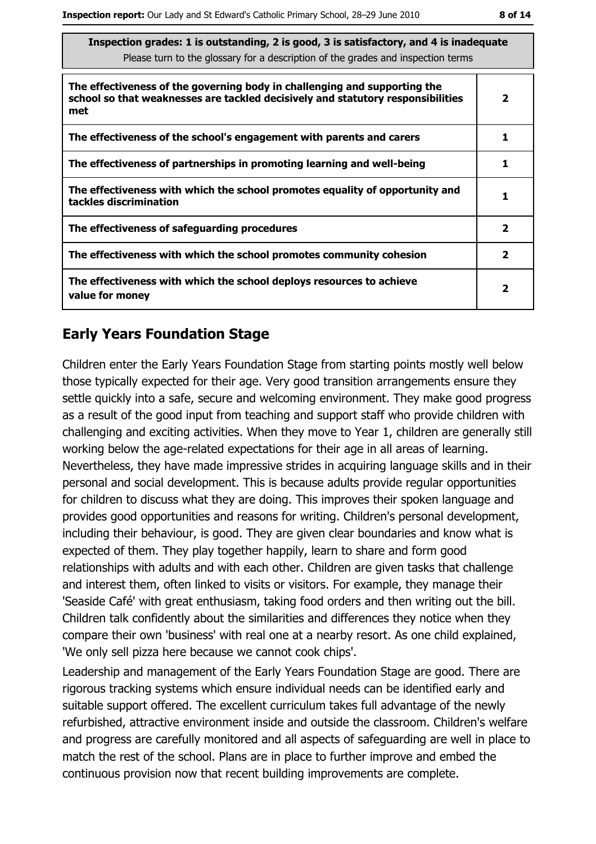| Inspection grades: 1 is outstanding, 2 is good, 3 is satisfactory, and 4 is inadequate<br>Please turn to the glossary for a description of the grades and inspection terms |                |
|----------------------------------------------------------------------------------------------------------------------------------------------------------------------------|----------------|
| The effectiveness of the governing body in challenging and supporting the<br>school so that weaknesses are tackled decisively and statutory responsibilities<br>met        | 2              |
| The effectiveness of the school's engagement with parents and carers                                                                                                       |                |
| The effectiveness of partnerships in promoting learning and well-being                                                                                                     | 1              |
| The effectiveness with which the school promotes equality of opportunity and<br>tackles discrimination                                                                     |                |
| The effectiveness of safeguarding procedures                                                                                                                               | $\overline{2}$ |
| The effectiveness with which the school promotes community cohesion                                                                                                        | $\mathbf{2}$   |
| The effectiveness with which the school deploys resources to achieve<br>value for money                                                                                    | $\mathbf{2}$   |

#### **Early Years Foundation Stage**

Children enter the Early Years Foundation Stage from starting points mostly well below those typically expected for their age. Very good transition arrangements ensure they settle quickly into a safe, secure and welcoming environment. They make good progress as a result of the good input from teaching and support staff who provide children with challenging and exciting activities. When they move to Year 1, children are generally still working below the age-related expectations for their age in all areas of learning. Nevertheless, they have made impressive strides in acquiring language skills and in their personal and social development. This is because adults provide regular opportunities for children to discuss what they are doing. This improves their spoken language and provides good opportunities and reasons for writing. Children's personal development, including their behaviour, is good. They are given clear boundaries and know what is expected of them. They play together happily, learn to share and form good relationships with adults and with each other. Children are given tasks that challenge and interest them, often linked to visits or visitors. For example, they manage their 'Seaside Café' with great enthusiasm, taking food orders and then writing out the bill. Children talk confidently about the similarities and differences they notice when they compare their own 'business' with real one at a nearby resort. As one child explained, 'We only sell pizza here because we cannot cook chips'.

Leadership and management of the Early Years Foundation Stage are good. There are rigorous tracking systems which ensure individual needs can be identified early and suitable support offered. The excellent curriculum takes full advantage of the newly refurbished, attractive environment inside and outside the classroom. Children's welfare and progress are carefully monitored and all aspects of safeguarding are well in place to match the rest of the school. Plans are in place to further improve and embed the continuous provision now that recent building improvements are complete.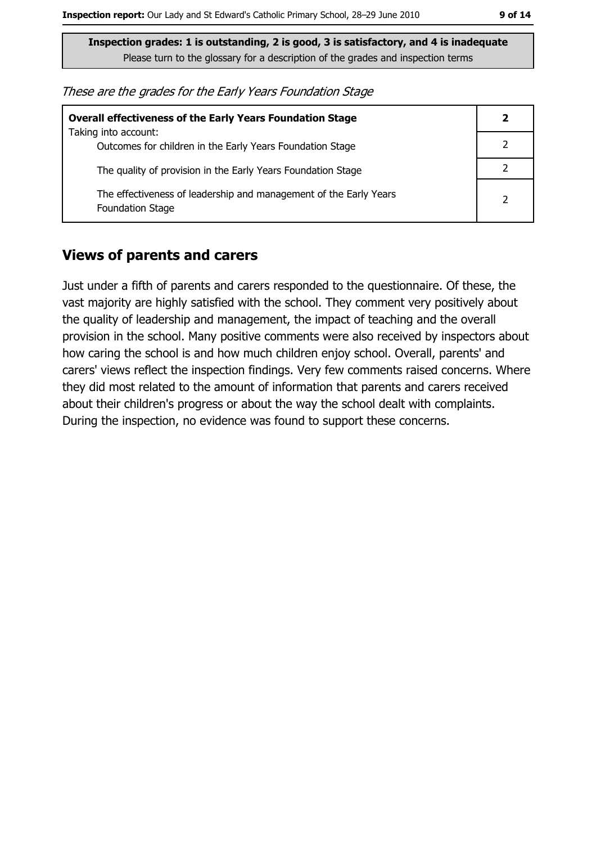These are the grades for the Early Years Foundation Stage

| <b>Overall effectiveness of the Early Years Foundation Stage</b>                             |                |  |
|----------------------------------------------------------------------------------------------|----------------|--|
| Taking into account:<br>Outcomes for children in the Early Years Foundation Stage            |                |  |
| The quality of provision in the Early Years Foundation Stage                                 |                |  |
| The effectiveness of leadership and management of the Early Years<br><b>Foundation Stage</b> | $\overline{2}$ |  |

#### **Views of parents and carers**

Just under a fifth of parents and carers responded to the questionnaire. Of these, the vast majority are highly satisfied with the school. They comment very positively about the quality of leadership and management, the impact of teaching and the overall provision in the school. Many positive comments were also received by inspectors about how caring the school is and how much children enjoy school. Overall, parents' and carers' views reflect the inspection findings. Very few comments raised concerns. Where they did most related to the amount of information that parents and carers received about their children's progress or about the way the school dealt with complaints. During the inspection, no evidence was found to support these concerns.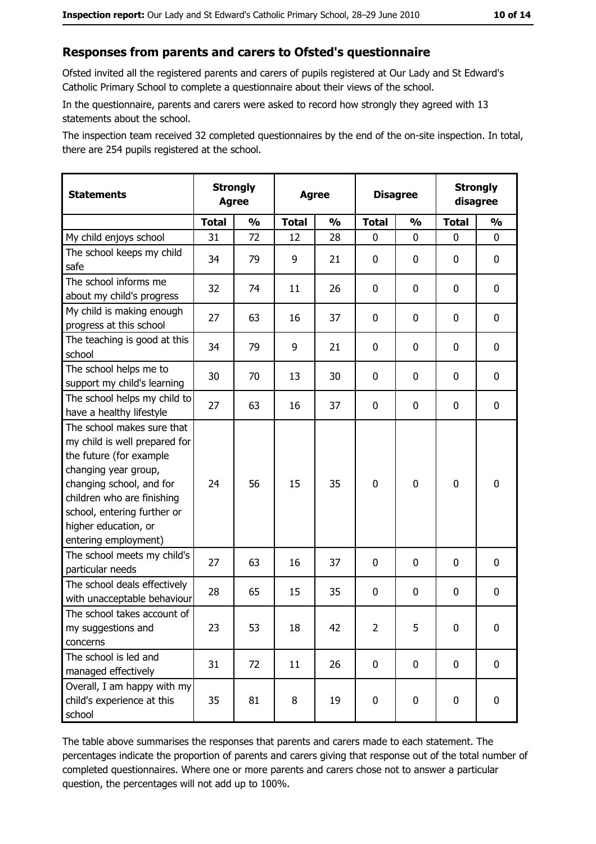#### Responses from parents and carers to Ofsted's questionnaire

Ofsted invited all the registered parents and carers of pupils registered at Our Lady and St Edward's Catholic Primary School to complete a questionnaire about their views of the school.

In the questionnaire, parents and carers were asked to record how strongly they agreed with 13 statements about the school.

The inspection team received 32 completed questionnaires by the end of the on-site inspection. In total, there are 254 pupils registered at the school.

| <b>Statements</b>                                                                                                                                                                                                                                       | <b>Agree</b> | <b>Strongly</b><br><b>Strongly</b><br><b>Disagree</b><br><b>Agree</b><br>disagree |              |               |                |               |              |               |
|---------------------------------------------------------------------------------------------------------------------------------------------------------------------------------------------------------------------------------------------------------|--------------|-----------------------------------------------------------------------------------|--------------|---------------|----------------|---------------|--------------|---------------|
|                                                                                                                                                                                                                                                         | <b>Total</b> | $\frac{1}{2}$                                                                     | <b>Total</b> | $\frac{0}{0}$ | <b>Total</b>   | $\frac{1}{2}$ | <b>Total</b> | $\frac{9}{6}$ |
| My child enjoys school                                                                                                                                                                                                                                  | 31           | 72                                                                                | 12           | 28            | 0              | 0             | $\Omega$     | 0             |
| The school keeps my child<br>safe                                                                                                                                                                                                                       | 34           | 79                                                                                | 9            | 21            | $\mathbf 0$    | 0             | $\mathbf{0}$ | 0             |
| The school informs me<br>about my child's progress                                                                                                                                                                                                      | 32           | 74                                                                                | 11           | 26            | $\mathbf 0$    | 0             | 0            | 0             |
| My child is making enough<br>progress at this school                                                                                                                                                                                                    | 27           | 63                                                                                | 16           | 37            | $\mathbf 0$    | 0             | 0            | 0             |
| The teaching is good at this<br>school                                                                                                                                                                                                                  | 34           | 79                                                                                | 9            | 21            | $\mathbf 0$    | 0             | 0            | 0             |
| The school helps me to<br>support my child's learning                                                                                                                                                                                                   | 30           | 70                                                                                | 13           | 30            | $\mathbf 0$    | 0             | 0            | 0             |
| The school helps my child to<br>have a healthy lifestyle                                                                                                                                                                                                | 27           | 63                                                                                | 16           | 37            | $\mathbf 0$    | 0             | 0            | 0             |
| The school makes sure that<br>my child is well prepared for<br>the future (for example<br>changing year group,<br>changing school, and for<br>children who are finishing<br>school, entering further or<br>higher education, or<br>entering employment) | 24           | 56                                                                                | 15           | 35            | $\mathbf 0$    | 0             | 0            | 0             |
| The school meets my child's<br>particular needs                                                                                                                                                                                                         | 27           | 63                                                                                | 16           | 37            | $\mathbf 0$    | 0             | 0            | 0             |
| The school deals effectively<br>with unacceptable behaviour                                                                                                                                                                                             | 28           | 65                                                                                | 15           | 35            | $\mathbf 0$    | 0             | 0            | 0             |
| The school takes account of<br>my suggestions and<br>concerns                                                                                                                                                                                           | 23           | 53                                                                                | 18           | 42            | $\overline{2}$ | 5             | 0            | 0             |
| The school is led and<br>managed effectively                                                                                                                                                                                                            | 31           | 72                                                                                | 11           | 26            | $\mathbf 0$    | 0             | 0            | $\mathbf 0$   |
| Overall, I am happy with my<br>child's experience at this<br>school                                                                                                                                                                                     | 35           | 81                                                                                | 8            | 19            | $\mathbf 0$    | 0             | $\mathbf 0$  | 0             |

The table above summarises the responses that parents and carers made to each statement. The percentages indicate the proportion of parents and carers giving that response out of the total number of completed questionnaires. Where one or more parents and carers chose not to answer a particular question, the percentages will not add up to 100%.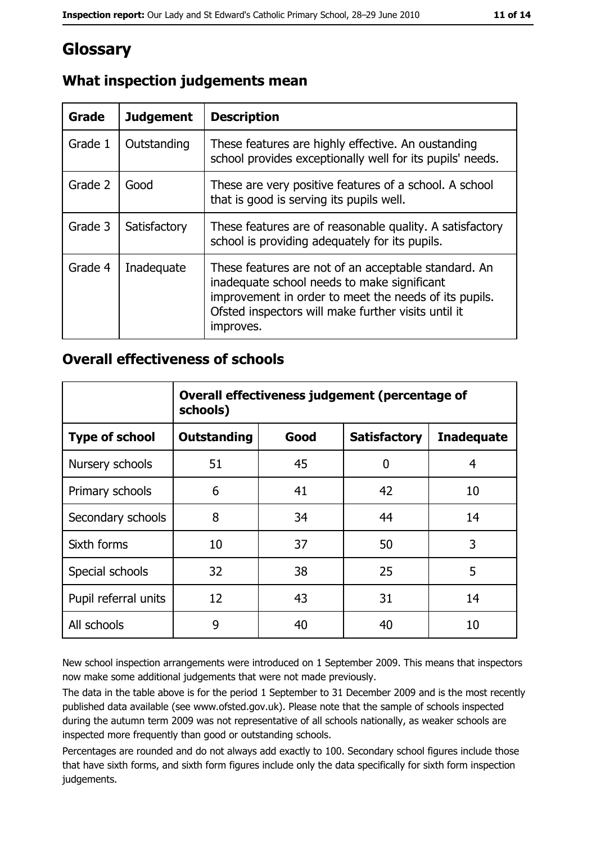## **Glossary**

| <b>Grade</b> | <b>Judgement</b> | <b>Description</b>                                                                                                                                                                                                               |
|--------------|------------------|----------------------------------------------------------------------------------------------------------------------------------------------------------------------------------------------------------------------------------|
| Grade 1      | Outstanding      | These features are highly effective. An oustanding<br>school provides exceptionally well for its pupils' needs.                                                                                                                  |
| Grade 2      | Good             | These are very positive features of a school. A school<br>that is good is serving its pupils well.                                                                                                                               |
| Grade 3      | Satisfactory     | These features are of reasonable quality. A satisfactory<br>school is providing adequately for its pupils.                                                                                                                       |
| Grade 4      | Inadequate       | These features are not of an acceptable standard. An<br>inadequate school needs to make significant<br>improvement in order to meet the needs of its pupils.<br>Ofsted inspectors will make further visits until it<br>improves. |

## What inspection judgements mean

#### **Overall effectiveness of schools**

|                       | Overall effectiveness judgement (percentage of<br>schools) |      |                     |                   |  |
|-----------------------|------------------------------------------------------------|------|---------------------|-------------------|--|
| <b>Type of school</b> | <b>Outstanding</b>                                         | Good | <b>Satisfactory</b> | <b>Inadequate</b> |  |
| Nursery schools       | 51                                                         | 45   | 0                   | 4                 |  |
| Primary schools       | 6                                                          | 41   | 42                  | 10                |  |
| Secondary schools     | 8                                                          | 34   | 44                  | 14                |  |
| Sixth forms           | 10                                                         | 37   | 50                  | 3                 |  |
| Special schools       | 32                                                         | 38   | 25                  | 5                 |  |
| Pupil referral units  | 12                                                         | 43   | 31                  | 14                |  |
| All schools           | 9                                                          | 40   | 40                  | 10                |  |

New school inspection arrangements were introduced on 1 September 2009. This means that inspectors now make some additional judgements that were not made previously.

The data in the table above is for the period 1 September to 31 December 2009 and is the most recently published data available (see www.ofsted.gov.uk). Please note that the sample of schools inspected during the autumn term 2009 was not representative of all schools nationally, as weaker schools are inspected more frequently than good or outstanding schools.

Percentages are rounded and do not always add exactly to 100. Secondary school figures include those that have sixth forms, and sixth form figures include only the data specifically for sixth form inspection judgements.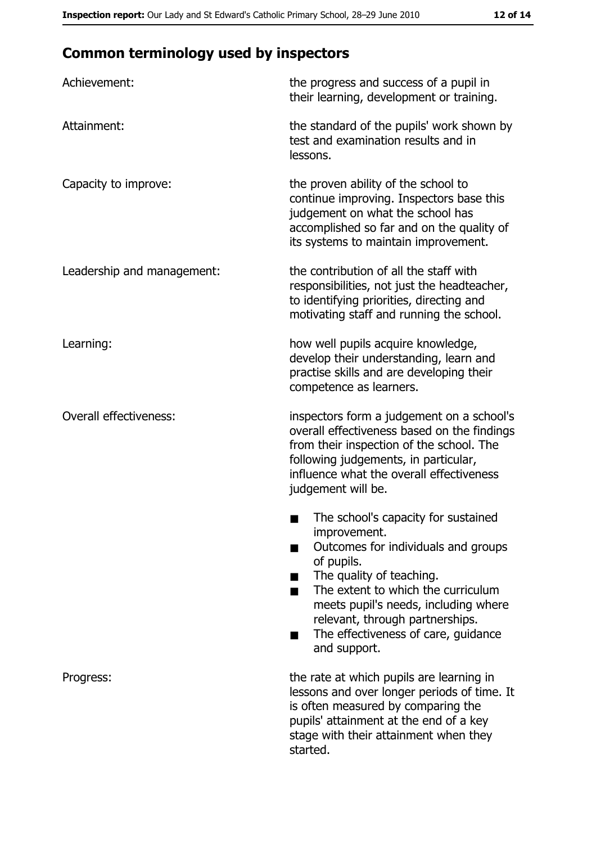# **Common terminology used by inspectors**

| Achievement:                  | the progress and success of a pupil in<br>their learning, development or training.                                                                                                                                                                                                                           |
|-------------------------------|--------------------------------------------------------------------------------------------------------------------------------------------------------------------------------------------------------------------------------------------------------------------------------------------------------------|
| Attainment:                   | the standard of the pupils' work shown by<br>test and examination results and in<br>lessons.                                                                                                                                                                                                                 |
| Capacity to improve:          | the proven ability of the school to<br>continue improving. Inspectors base this<br>judgement on what the school has<br>accomplished so far and on the quality of<br>its systems to maintain improvement.                                                                                                     |
| Leadership and management:    | the contribution of all the staff with<br>responsibilities, not just the headteacher,<br>to identifying priorities, directing and<br>motivating staff and running the school.                                                                                                                                |
| Learning:                     | how well pupils acquire knowledge,<br>develop their understanding, learn and<br>practise skills and are developing their<br>competence as learners.                                                                                                                                                          |
| <b>Overall effectiveness:</b> | inspectors form a judgement on a school's<br>overall effectiveness based on the findings<br>from their inspection of the school. The<br>following judgements, in particular,<br>influence what the overall effectiveness<br>judgement will be.                                                               |
|                               | The school's capacity for sustained<br>improvement.<br>Outcomes for individuals and groups<br>of pupils.<br>The quality of teaching.<br>The extent to which the curriculum<br>meets pupil's needs, including where<br>relevant, through partnerships.<br>The effectiveness of care, guidance<br>and support. |
| Progress:                     | the rate at which pupils are learning in<br>lessons and over longer periods of time. It<br>is often measured by comparing the<br>pupils' attainment at the end of a key<br>stage with their attainment when they<br>started.                                                                                 |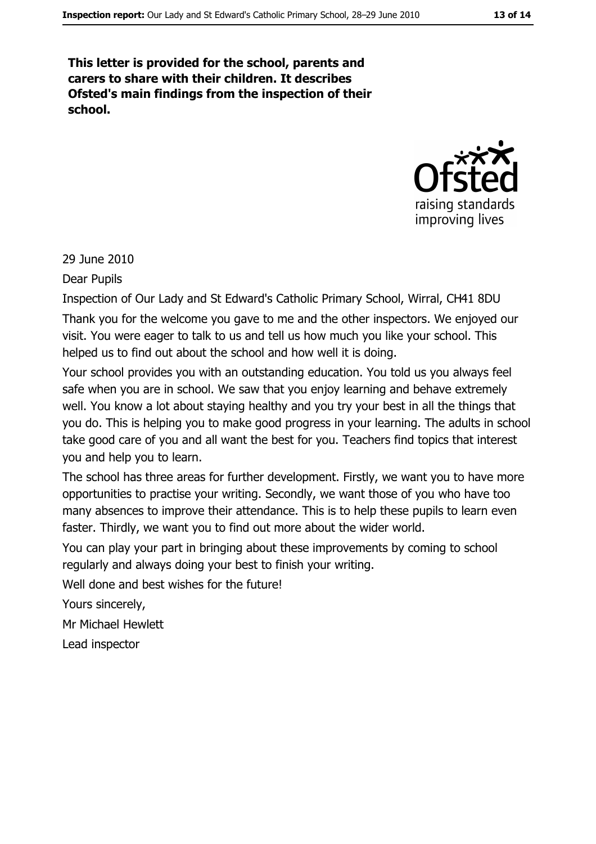This letter is provided for the school, parents and carers to share with their children. It describes Ofsted's main findings from the inspection of their school.



29 June 2010

**Dear Pupils** 

Inspection of Our Lady and St Edward's Catholic Primary School, Wirral, CH41 8DU Thank you for the welcome you gave to me and the other inspectors. We enjoyed our visit. You were eager to talk to us and tell us how much you like your school. This helped us to find out about the school and how well it is doing.

Your school provides you with an outstanding education. You told us you always feel safe when you are in school. We saw that you enjoy learning and behave extremely well. You know a lot about staying healthy and you try your best in all the things that you do. This is helping you to make good progress in your learning. The adults in school take good care of you and all want the best for you. Teachers find topics that interest you and help you to learn.

The school has three areas for further development. Firstly, we want you to have more opportunities to practise your writing. Secondly, we want those of you who have too many absences to improve their attendance. This is to help these pupils to learn even faster. Thirdly, we want you to find out more about the wider world.

You can play your part in bringing about these improvements by coming to school regularly and always doing your best to finish your writing.

Well done and best wishes for the future!

Yours sincerely,

Mr Michael Hewlett

Lead inspector